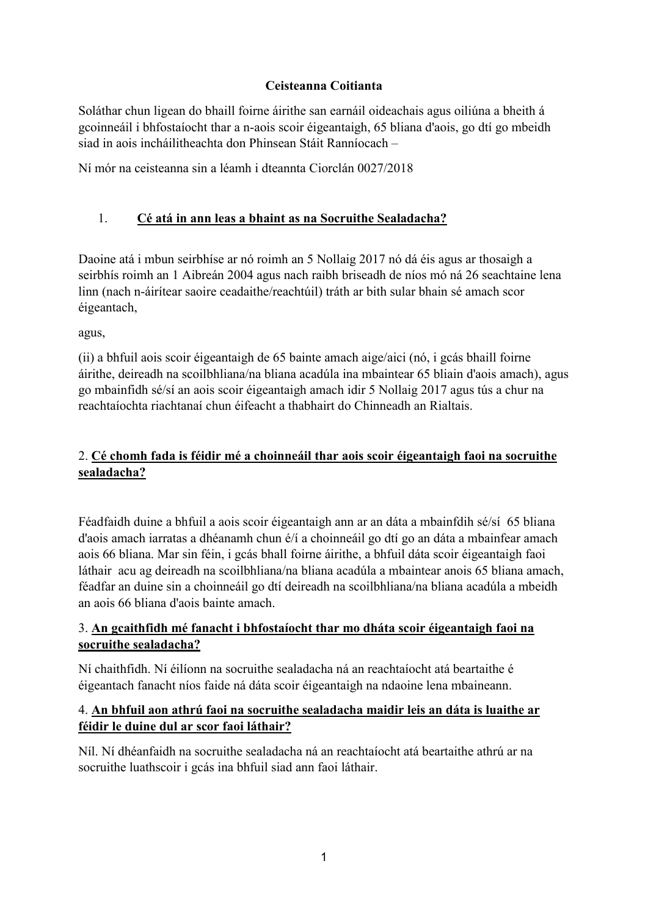### **Ceisteanna Coitianta**

Soláthar chun ligean do bhaill foirne áirithe san earnáil oideachais agus oiliúna a bheith á gcoinneáil i bhfostaíocht thar a n-aois scoir éigeantaigh, 65 bliana d'aois, go dtí go mbeidh siad in aois incháilitheachta don Phinsean Stáit Ranníocach –

Ní mór na ceisteanna sin a léamh i dteannta Ciorclán 0027/2018

# 1. **Cé atá in ann leas a bhaint as na Socruithe Sealadacha?**

Daoine atá i mbun seirbhíse ar nó roimh an 5 Nollaig 2017 nó dá éis agus ar thosaigh a seirbhís roimh an 1 Aibreán 2004 agus nach raibh briseadh de níos mó ná 26 seachtaine lena linn (nach n-áirítear saoire ceadaithe/reachtúil) tráth ar bith sular bhain sé amach scor éigeantach,

agus,

(ii) a bhfuil aois scoir éigeantaigh de 65 bainte amach aige/aici (nó, i gcás bhaill foirne áirithe, deireadh na scoilbhliana/na bliana acadúla ina mbaintear 65 bliain d'aois amach), agus go mbainfidh sé/sí an aois scoir éigeantaigh amach idir 5 Nollaig 2017 agus tús a chur na reachtaíochta riachtanaí chun éifeacht a thabhairt do Chinneadh an Rialtais.

# 2. **Cé chomh fada is féidir mé a choinneáil thar aois scoir éigeantaigh faoi na socruithe sealadacha?**

Féadfaidh duine a bhfuil a aois scoir éigeantaigh ann ar an dáta a mbainfdih sé/sí 65 bliana d'aois amach iarratas a dhéanamh chun é/í a choinneáil go dtí go an dáta a mbainfear amach aois 66 bliana. Mar sin féin, i gcás bhall foirne áirithe, a bhfuil dáta scoir éigeantaigh faoi láthair acu ag deireadh na scoilbhliana/na bliana acadúla a mbaintear anois 65 bliana amach, féadfar an duine sin a choinneáil go dtí deireadh na scoilbhliana/na bliana acadúla a mbeidh an aois 66 bliana d'aois bainte amach.

### 3. **An gcaithfidh mé fanacht i bhfostaíocht thar mo dháta scoir éigeantaigh faoi na socruithe sealadacha?**

Ní chaithfidh. Ní éilíonn na socruithe sealadacha ná an reachtaíocht atá beartaithe é éigeantach fanacht níos faide ná dáta scoir éigeantaigh na ndaoine lena mbaineann.

#### 4. **An bhfuil aon athrú faoi na socruithe sealadacha maidir leis an dáta is luaithe ar féidir le duine dul ar scor faoi láthair?**

Níl. Ní dhéanfaidh na socruithe sealadacha ná an reachtaíocht atá beartaithe athrú ar na socruithe luathscoir i gcás ina bhfuil siad ann faoi láthair.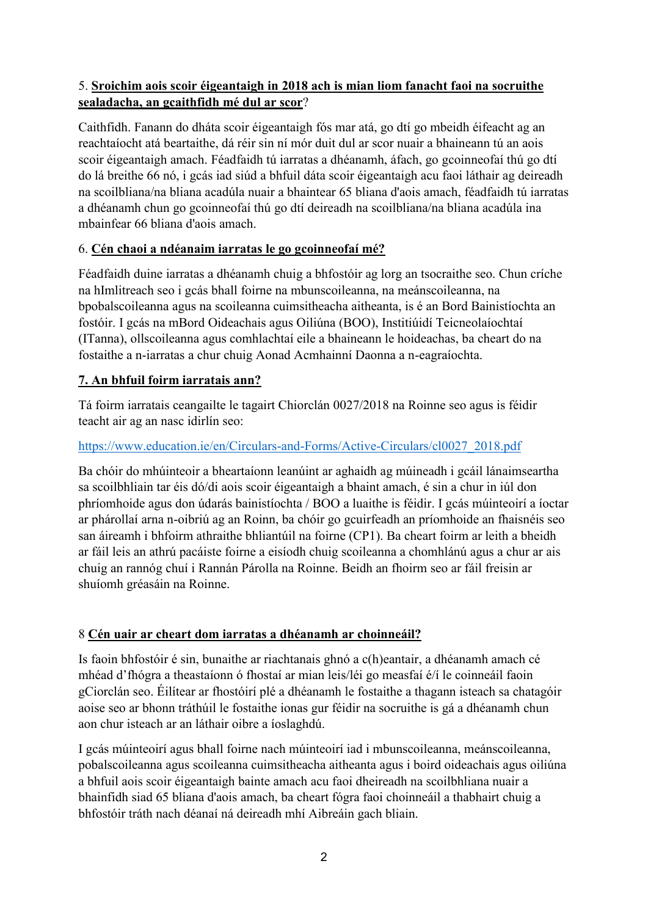## 5. **Sroichim aois scoir éigeantaigh in 2018 ach is mian liom fanacht faoi na socruithe sealadacha, an gcaithfidh mé dul ar scor**?

Caithfidh. Fanann do dháta scoir éigeantaigh fós mar atá, go dtí go mbeidh éifeacht ag an reachtaíocht atá beartaithe, dá réir sin ní mór duit dul ar scor nuair a bhaineann tú an aois scoir éigeantaigh amach. Féadfaidh tú iarratas a dhéanamh, áfach, go gcoinneofaí thú go dtí do lá breithe 66 nó, i gcás iad siúd a bhfuil dáta scoir éigeantaigh acu faoi láthair ag deireadh na scoilbliana/na bliana acadúla nuair a bhaintear 65 bliana d'aois amach, féadfaidh tú iarratas a dhéanamh chun go gcoinneofaí thú go dtí deireadh na scoilbliana/na bliana acadúla ina mbainfear 66 bliana d'aois amach.

# 6. **Cén chaoi a ndéanaim iarratas le go gcoinneofaí mé?**

Féadfaidh duine iarratas a dhéanamh chuig a bhfostóir ag lorg an tsocraithe seo. Chun críche na hImlitreach seo i gcás bhall foirne na mbunscoileanna, na meánscoileanna, na bpobalscoileanna agus na scoileanna cuimsitheacha aitheanta, is é an Bord Bainistíochta an fostóir. I gcás na mBord Oideachais agus Oiliúna (BOO), Institiúidí Teicneolaíochtaí (ITanna), ollscoileanna agus comhlachtaí eile a bhaineann le hoideachas, ba cheart do na fostaithe a n-iarratas a chur chuig Aonad Acmhainní Daonna a n-eagraíochta.

# **7. An bhfuil foirm iarratais ann?**

Tá foirm iarratais ceangailte le tagairt Chiorclán 0027/2018 na Roinne seo agus is féidir teacht air ag an nasc idirlín seo:

### [https://www.education.ie/en/Circulars-and-Forms/Active-Circulars/cl0027\\_2018.pdf](https://www.education.ie/en/Circulars-and-Forms/Active-Circulars/cl0027_2018.pdf)

Ba chóir do mhúinteoir a bheartaíonn leanúint ar aghaidh ag múineadh i gcáil lánaimseartha sa scoilbhliain tar éis dó/di aois scoir éigeantaigh a bhaint amach, é sin a chur in iúl don phríomhoide agus don údarás bainistíochta / BOO a luaithe is féidir. I gcás múinteoirí a íoctar ar phárollaí arna n-oibriú ag an Roinn, ba chóir go gcuirfeadh an príomhoide an fhaisnéis seo san áireamh i bhfoirm athraithe bhliantúil na foirne (CP1). Ba cheart foirm ar leith a bheidh ar fáil leis an athrú pacáiste foirne a eisíodh chuig scoileanna a chomhlánú agus a chur ar ais chuig an rannóg chuí i Rannán Párolla na Roinne. Beidh an fhoirm seo ar fáil freisin ar shuíomh gréasáin na Roinne.

### 8 **Cén uair ar cheart dom iarratas a dhéanamh ar choinneáil?**

Is faoin bhfostóir é sin, bunaithe ar riachtanais ghnó a c(h)eantair, a dhéanamh amach cé mhéad d'fhógra a theastaíonn ó fhostaí ar mian leis/léi go measfaí é/í le coinneáil faoin gCiorclán seo. Éilítear ar fhostóirí plé a dhéanamh le fostaithe a thagann isteach sa chatagóir aoise seo ar bhonn tráthúil le fostaithe ionas gur féidir na socruithe is gá a dhéanamh chun aon chur isteach ar an láthair oibre a íoslaghdú.

I gcás múinteoirí agus bhall foirne nach múinteoirí iad i mbunscoileanna, meánscoileanna, pobalscoileanna agus scoileanna cuimsitheacha aitheanta agus i boird oideachais agus oiliúna a bhfuil aois scoir éigeantaigh bainte amach acu faoi dheireadh na scoilbhliana nuair a bhainfidh siad 65 bliana d'aois amach, ba cheart fógra faoi choinneáil a thabhairt chuig a bhfostóir tráth nach déanaí ná deireadh mhí Aibreáin gach bliain.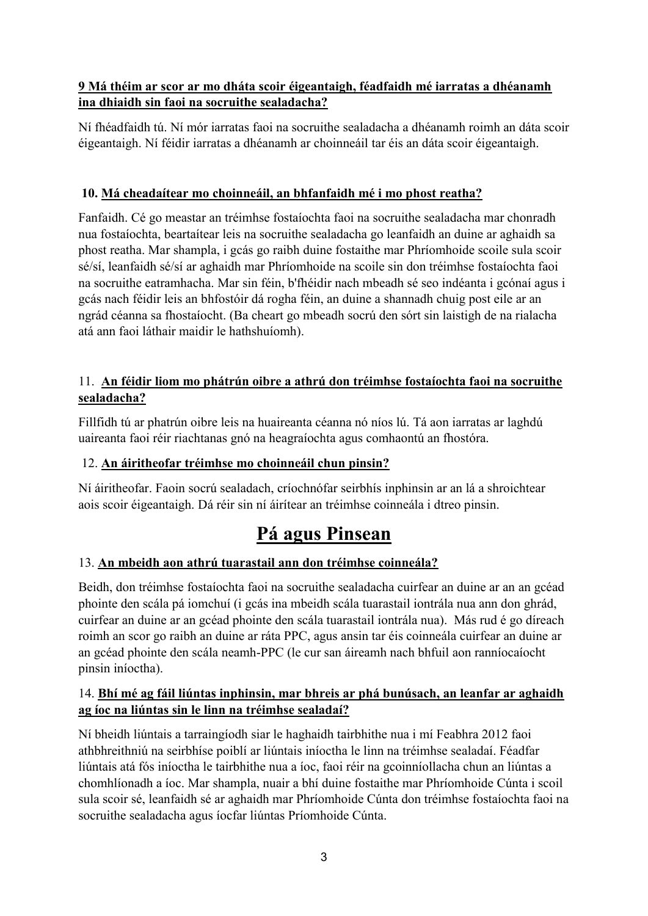## **9 Má théim ar scor ar mo dháta scoir éigeantaigh, féadfaidh mé iarratas a dhéanamh ina dhiaidh sin faoi na socruithe sealadacha?**

Ní fhéadfaidh tú. Ní mór iarratas faoi na socruithe sealadacha a dhéanamh roimh an dáta scoir éigeantaigh. Ní féidir iarratas a dhéanamh ar choinneáil tar éis an dáta scoir éigeantaigh.

# **10. Má cheadaítear mo choinneáil, an bhfanfaidh mé i mo phost reatha?**

Fanfaidh. Cé go meastar an tréimhse fostaíochta faoi na socruithe sealadacha mar chonradh nua fostaíochta, beartaítear leis na socruithe sealadacha go leanfaidh an duine ar aghaidh sa phost reatha. Mar shampla, i gcás go raibh duine fostaithe mar Phríomhoide scoile sula scoir sé/sí, leanfaidh sé/sí ar aghaidh mar Phríomhoide na scoile sin don tréimhse fostaíochta faoi na socruithe eatramhacha. Mar sin féin, b'fhéidir nach mbeadh sé seo indéanta i gcónaí agus i gcás nach féidir leis an bhfostóir dá rogha féin, an duine a shannadh chuig post eile ar an ngrád céanna sa fhostaíocht. (Ba cheart go mbeadh socrú den sórt sin laistigh de na rialacha atá ann faoi láthair maidir le hathshuíomh).

## 11. **An féidir liom mo phátrún oibre a athrú don tréimhse fostaíochta faoi na socruithe sealadacha?**

Fillfidh tú ar phatrún oibre leis na huaireanta céanna nó níos lú. Tá aon iarratas ar laghdú uaireanta faoi réir riachtanas gnó na heagraíochta agus comhaontú an fhostóra.

# 12. **An áiritheofar tréimhse mo choinneáil chun pinsin?**

Ní áiritheofar. Faoin socrú sealadach, críochnófar seirbhís inphinsin ar an lá a shroichtear aois scoir éigeantaigh. Dá réir sin ní áirítear an tréimhse coinneála i dtreo pinsin.

# **Pá agus Pinsean**

# 13. **An mbeidh aon athrú tuarastail ann don tréimhse coinneála?**

Beidh, don tréimhse fostaíochta faoi na socruithe sealadacha cuirfear an duine ar an an gcéad phointe den scála pá iomchuí (i gcás ina mbeidh scála tuarastail iontrála nua ann don ghrád, cuirfear an duine ar an gcéad phointe den scála tuarastail iontrála nua). Más rud é go díreach roimh an scor go raibh an duine ar ráta PPC, agus ansin tar éis coinneála cuirfear an duine ar an gcéad phointe den scála neamh-PPC (le cur san áireamh nach bhfuil aon ranníocaíocht pinsin iníoctha).

### 14. **Bhí mé ag fáil liúntas inphinsin, mar bhreis ar phá bunúsach, an leanfar ar aghaidh ag íoc na liúntas sin le linn na tréimhse sealadaí?**

Ní bheidh liúntais a tarraingíodh siar le haghaidh tairbhithe nua i mí Feabhra 2012 faoi athbhreithniú na seirbhíse poiblí ar liúntais iníoctha le linn na tréimhse sealadaí. Féadfar liúntais atá fós iníoctha le tairbhithe nua a íoc, faoi réir na gcoinníollacha chun an liúntas a chomhlíonadh a íoc. Mar shampla, nuair a bhí duine fostaithe mar Phríomhoide Cúnta i scoil sula scoir sé, leanfaidh sé ar aghaidh mar Phríomhoide Cúnta don tréimhse fostaíochta faoi na socruithe sealadacha agus íocfar liúntas Príomhoide Cúnta.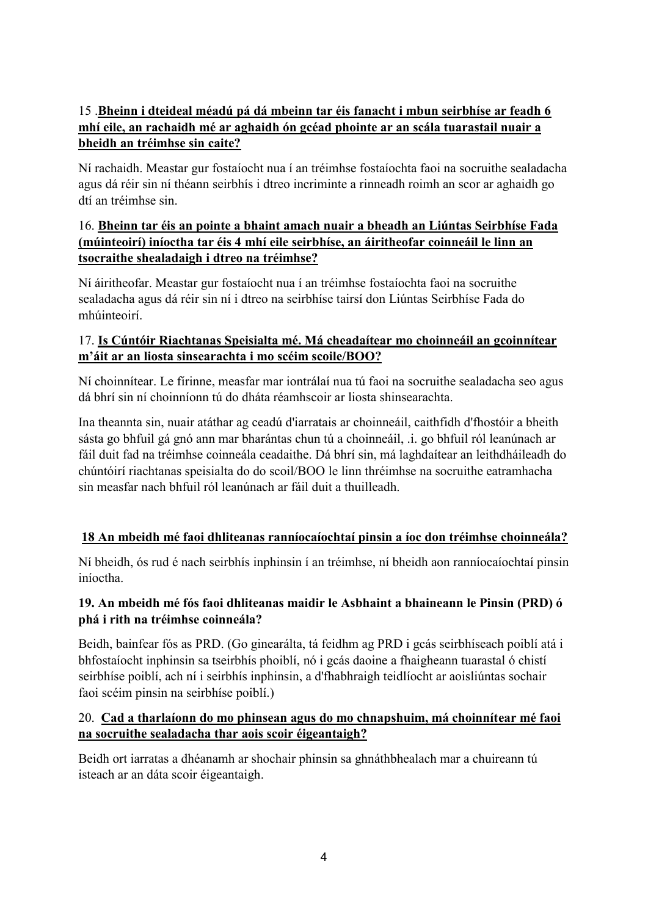# 15 .**Bheinn i dteideal méadú pá dá mbeinn tar éis fanacht i mbun seirbhíse ar feadh 6 mhí eile, an rachaidh mé ar aghaidh ón gcéad phointe ar an scála tuarastail nuair a bheidh an tréimhse sin caite?**

Ní rachaidh. Meastar gur fostaíocht nua í an tréimhse fostaíochta faoi na socruithe sealadacha agus dá réir sin ní théann seirbhís i dtreo incriminte a rinneadh roimh an scor ar aghaidh go dtí an tréimhse sin.

#### 16. **Bheinn tar éis an pointe a bhaint amach nuair a bheadh an Liúntas Seirbhíse Fada (múinteoirí) iníoctha tar éis 4 mhí eile seirbhíse, an áiritheofar coinneáil le linn an tsocraithe shealadaigh i dtreo na tréimhse?**

Ní áiritheofar. Meastar gur fostaíocht nua í an tréimhse fostaíochta faoi na socruithe sealadacha agus dá réir sin ní i dtreo na seirbhíse tairsí don Liúntas Seirbhíse Fada do mhúinteoirí.

### 17. **Is Cúntóir Riachtanas Speisialta mé. Má cheadaítear mo choinneáil an gcoinnítear m'áit ar an liosta sinsearachta i mo scéim scoile/BOO?**

Ní choinnítear. Le fírinne, measfar mar iontrálaí nua tú faoi na socruithe sealadacha seo agus dá bhrí sin ní choinníonn tú do dháta réamhscoir ar liosta shinsearachta.

Ina theannta sin, nuair atáthar ag ceadú d'iarratais ar choinneáil, caithfidh d'fhostóir a bheith sásta go bhfuil gá gnó ann mar bharántas chun tú a choinneáil, .i. go bhfuil ról leanúnach ar fáil duit fad na tréimhse coinneála ceadaithe. Dá bhrí sin, má laghdaítear an leithdháileadh do chúntóirí riachtanas speisialta do do scoil/BOO le linn thréimhse na socruithe eatramhacha sin measfar nach bhfuil ról leanúnach ar fáil duit a thuilleadh.

### **18 An mbeidh mé faoi dhliteanas ranníocaíochtaí pinsin a íoc don tréimhse choinneála?**

Ní bheidh, ós rud é nach seirbhís inphinsin í an tréimhse, ní bheidh aon ranníocaíochtaí pinsin iníoctha.

### **19. An mbeidh mé fós faoi dhliteanas maidir le Asbhaint a bhaineann le Pinsin (PRD) ó phá i rith na tréimhse coinneála?**

Beidh, bainfear fós as PRD. (Go ginearálta, tá feidhm ag PRD i gcás seirbhíseach poiblí atá i bhfostaíocht inphinsin sa tseirbhís phoiblí, nó i gcás daoine a fhaigheann tuarastal ó chistí seirbhíse poiblí, ach ní i seirbhís inphinsin, a d'fhabhraigh teidlíocht ar aoisliúntas sochair faoi scéim pinsin na seirbhíse poiblí.)

### 20. **Cad a tharlaíonn do mo phinsean agus do mo chnapshuim, má choinnítear mé faoi na socruithe sealadacha thar aois scoir éigeantaigh?**

Beidh ort iarratas a dhéanamh ar shochair phinsin sa ghnáthbhealach mar a chuireann tú isteach ar an dáta scoir éigeantaigh.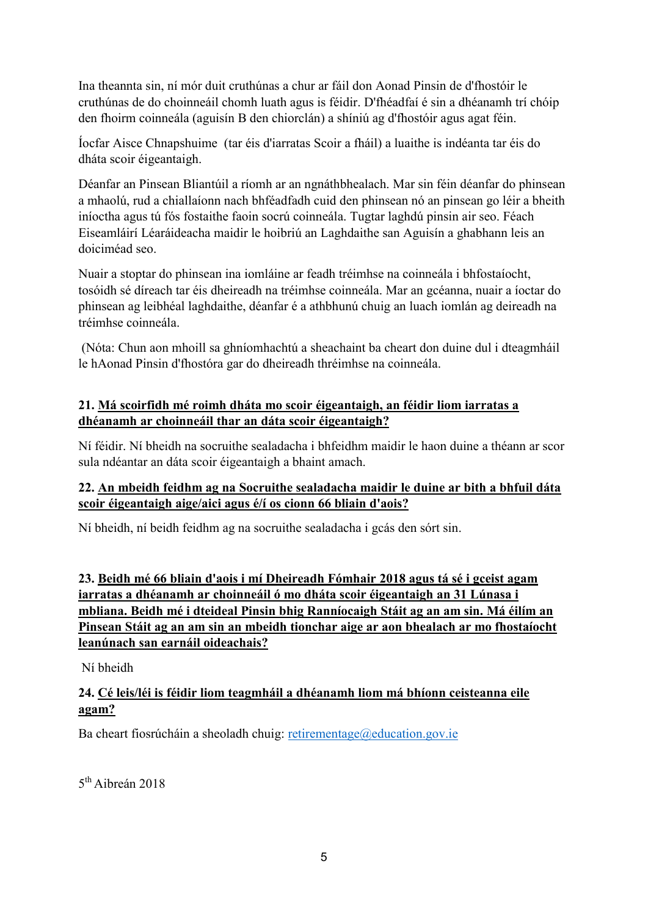Ina theannta sin, ní mór duit cruthúnas a chur ar fáil don Aonad Pinsin de d'fhostóir le cruthúnas de do choinneáil chomh luath agus is féidir. D'fhéadfaí é sin a dhéanamh trí chóip den fhoirm coinneála (aguisín B den chiorclán) a shíniú ag d'fhostóir agus agat féin.

Íocfar Aisce Chnapshuime (tar éis d'iarratas Scoir a fháil) a luaithe is indéanta tar éis do dháta scoir éigeantaigh.

Déanfar an Pinsean Bliantúil a ríomh ar an ngnáthbhealach. Mar sin féin déanfar do phinsean a mhaolú, rud a chiallaíonn nach bhféadfadh cuid den phinsean nó an pinsean go léir a bheith iníoctha agus tú fós fostaithe faoin socrú coinneála. Tugtar laghdú pinsin air seo. Féach Eiseamláirí Léaráideacha maidir le hoibriú an Laghdaithe san Aguisín a ghabhann leis an doiciméad seo.

Nuair a stoptar do phinsean ina iomláine ar feadh tréimhse na coinneála i bhfostaíocht, tosóidh sé díreach tar éis dheireadh na tréimhse coinneála. Mar an gcéanna, nuair a íoctar do phinsean ag leibhéal laghdaithe, déanfar é a athbhunú chuig an luach iomlán ag deireadh na tréimhse coinneála.

(Nóta: Chun aon mhoill sa ghníomhachtú a sheachaint ba cheart don duine dul i dteagmháil le hAonad Pinsin d'fhostóra gar do dheireadh thréimhse na coinneála.

#### **21. Má scoirfidh mé roimh dháta mo scoir éigeantaigh, an féidir liom iarratas a dhéanamh ar choinneáil thar an dáta scoir éigeantaigh?**

Ní féidir. Ní bheidh na socruithe sealadacha i bhfeidhm maidir le haon duine a théann ar scor sula ndéantar an dáta scoir éigeantaigh a bhaint amach.

#### **22. An mbeidh feidhm ag na Socruithe sealadacha maidir le duine ar bith a bhfuil dáta scoir éigeantaigh aige/aici agus é/í os cionn 66 bliain d'aois?**

Ní bheidh, ní beidh feidhm ag na socruithe sealadacha i gcás den sórt sin.

**23. Beidh mé 66 bliain d'aois i mí Dheireadh Fómhair 2018 agus tá sé i gceist agam iarratas a dhéanamh ar choinneáil ó mo dháta scoir éigeantaigh an 31 Lúnasa i mbliana. Beidh mé i dteideal Pinsin bhig Ranníocaigh Stáit ag an am sin. Má éilím an Pinsean Stáit ag an am sin an mbeidh tionchar aige ar aon bhealach ar mo fhostaíocht leanúnach san earnáil oideachais?**

#### Ní bheidh

# **24. Cé leis/léi is féidir liom teagmháil a dhéanamh liom má bhíonn ceisteanna eile agam?**

Ba cheart fiosrúcháin a sheoladh chuig: [retirementage@education.gov.ie](mailto:retirementage@education.gov.ie)

5<sup>th</sup> Aibreán 2018